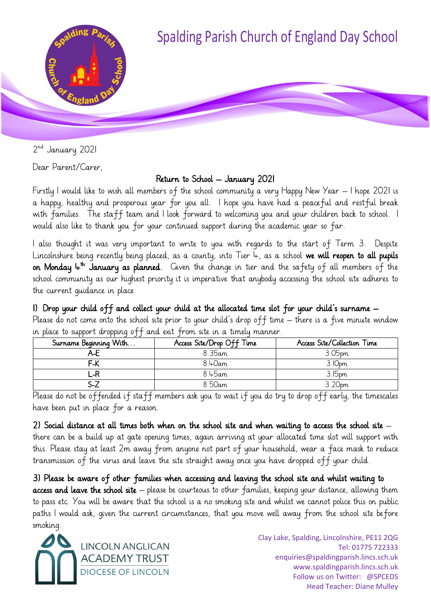

2<sup>nd</sup> January 2021

Dear Parent/Carer,

## Return to School – January 2021

Firstly I would like to wish all members of the school community a very Happy New Year – I hope 2021 is a happy, healthy and prosperous year for you all. I hope you have had a peaceful and restful break with families. The staff team and I look forward to welcoming you and your children back to school. I would also like to thank you for your continued support during the academic year so far.

I also thought it was very important to write to you with regards to the start of Term 3. Despite Lincolnshire being recently being placed, as a county, into Tier  $4$ , as a school we will reopen to all pupils **on Monday**  $\downarrow^{\text{th}}$  **January as planned**. Given the change in tier and the safety of all members of the school community as our highest priority it is imperative that anybody accessing the school site adheres to the current guidance in place.

1) Drop your child off and collect your child at the allocated time slot for your child's surname –

Please do not come onto the school site prior to your child's drop off time – there is a five minute window in place to support dropping off and exit from site in a timely manner.

| Surname Beginning With | Access Site/Drop Off Time | Access Site/Collection Time |
|------------------------|---------------------------|-----------------------------|
|                        | 8.35am                    | 3.05pm                      |
| F-K                    | $8.40$ am                 | 3.10pm                      |
|                        | 8.45am                    | 3.15 <sub>pm</sub>          |
|                        | 8.50am                    | 3.20pm                      |

Please do not be offended if staff members ask you to wait if you do try to drop off early, the timescales have been put in place for a reason.

2) Social distance at all times both when on the school site and when waiting to access the school site  $$ there can be a build up at gate opening times, again arriving at your allocated time slot will support with this. Please stay at least 2m away from anyone not part of your household, wear a face mask to reduce transmission of the virus and leave the site straight away once you have dropped off your child.

3) Please be aware of other families when accessing and leaving the school site and whilst waiting to access and leave the school site – please be courteous to other families, keeping your distance, allowing them to pass etc. You will be aware that the school is a no smoking site and whilst we cannot police this on public paths I would ask, given the current circumstances, that you move well away from the school site before smoking.



Clay Lake, Spalding, Lincolnshire, PE11 2QG Tel: 01775 722333 enquiries@spaldingparish.lincs.sch.uk www.spaldingparish.lincs.sch.uk Follow us on Twitter: @SPCEDS Head Teacher: Diane Mulley